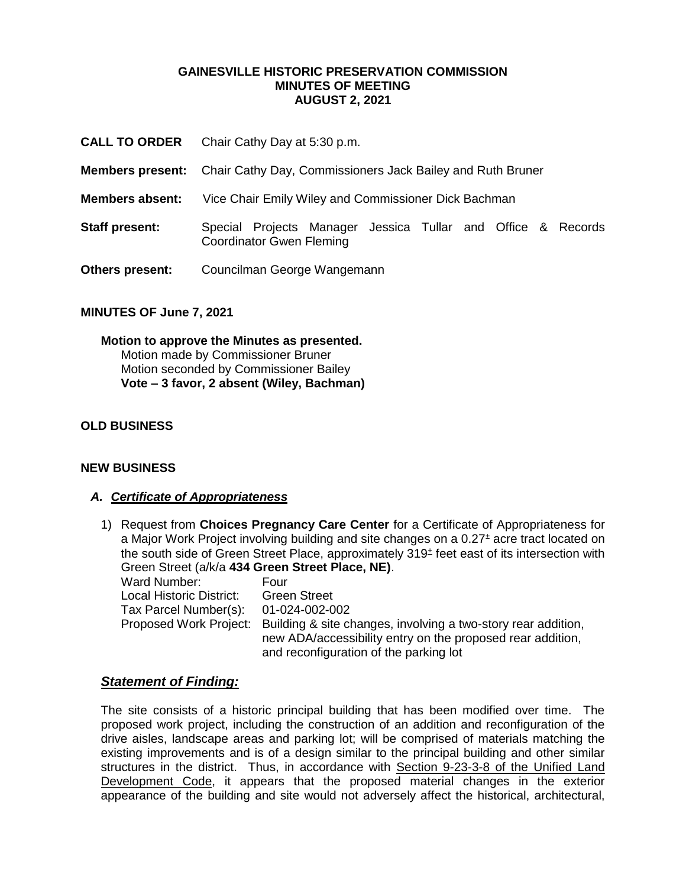#### **GAINESVILLE HISTORIC PRESERVATION COMMISSION MINUTES OF MEETING AUGUST 2, 2021**

- **CALL TO ORDER** Chair Cathy Day at 5:30 p.m.
- **Members present:** Chair Cathy Day, Commissioners Jack Bailey and Ruth Bruner
- **Members absent:** Vice Chair Emily Wiley and Commissioner Dick Bachman
- **Staff present:** Special Projects Manager Jessica Tullar and Office & Records Coordinator Gwen Fleming
- **Others present:** Councilman George Wangemann

#### **MINUTES OF June 7, 2021**

**Motion to approve the Minutes as presented.** Motion made by Commissioner Bruner Motion seconded by Commissioner Bailey **Vote – 3 favor, 2 absent (Wiley, Bachman)** 

## **OLD BUSINESS**

#### **NEW BUSINESS**

#### *A. Certificate of Appropriateness*

1) Request from **Choices Pregnancy Care Center** for a Certificate of Appropriateness for a Major Work Project involving building and site changes on a 0.27<sup>±</sup> acre tract located on the south side of Green Street Place, approximately 319<sup>±</sup> feet east of its intersection with Green Street (a/k/a **434 Green Street Place, NE)**. Ward Number: Four Local Historic District: Green Street Tax Parcel Number(s): 01-024-002-002 Proposed Work Project: Building & site changes, involving a two-story rear addition, new ADA/accessibility entry on the proposed rear addition,

## and reconfiguration of the parking lot

#### *Statement of Finding:*

The site consists of a historic principal building that has been modified over time. The proposed work project, including the construction of an addition and reconfiguration of the drive aisles, landscape areas and parking lot; will be comprised of materials matching the existing improvements and is of a design similar to the principal building and other similar structures in the district. Thus, in accordance with Section 9-23-3-8 of the Unified Land Development Code, it appears that the proposed material changes in the exterior appearance of the building and site would not adversely affect the historical, architectural,